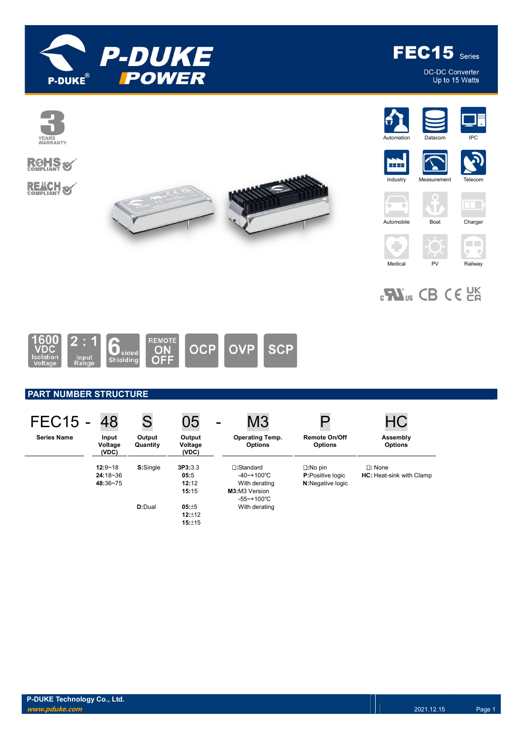

FEC15 Series

DC-DC Converter<br>Up to 15 Watts



 $\epsilon$ **W**<sub>us</sub> CB CE  $\epsilon$  ER



## PART NUMBER STRUCTURE

| <b>FEC15 -</b>     | 48                                    | S                  | 05                                | $\,$ | M <sub>3</sub>                                                                               |                                                                          | НC                                                  |
|--------------------|---------------------------------------|--------------------|-----------------------------------|------|----------------------------------------------------------------------------------------------|--------------------------------------------------------------------------|-----------------------------------------------------|
| <b>Series Name</b> | Input<br>Voltage<br>(VDC)             | Output<br>Quantity | Output<br>Voltage<br>(VDC)        |      | <b>Operating Temp.</b><br><b>Options</b>                                                     | <b>Remote On/Off</b><br><b>Options</b>                                   | Assembly<br><b>Options</b>                          |
|                    | $12:9 - 18$<br>$24:18-36$<br>48:36~75 | S:Single           | 3P3:3.3<br>05:5<br>12:12<br>15:15 |      | $\Box$ :Standard<br>$-40$ ~+100°C<br>With derating<br><b>M3:</b> M3 Version<br>$-55$ ~+100°C | $\square:$ No pin<br><b>P:Positive logic</b><br><b>N:</b> Negative logic | $\square$ : None<br><b>HC:</b> Heat-sink with Clamp |
|                    |                                       | <b>D:</b> Dual     | 05:±5<br>12:±12<br>15:±15         |      | With derating                                                                                |                                                                          |                                                     |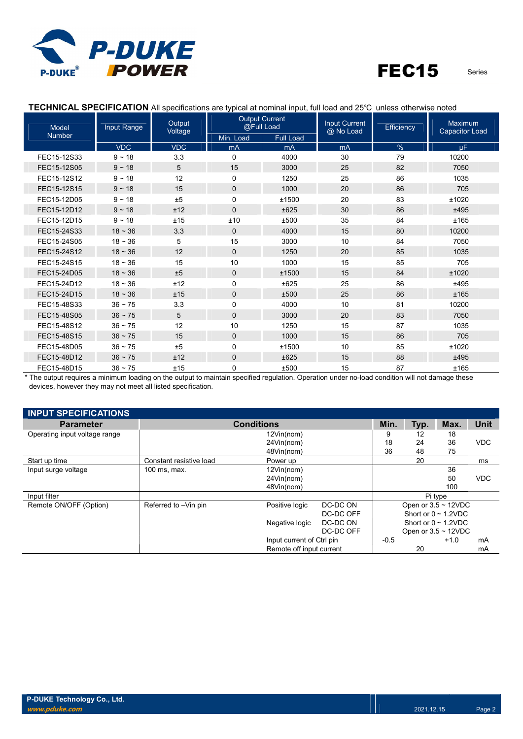

Model Number Input Range | Output Voltage Output Current utput Current<br>@Full Load **Input Current**<br>————————————— @ No Load nput Current | Efficiency | Maximum<br>@ No Load | Efficiency | Capacitor Load Min. Load Full Load VDC | VDC | mA || mA || mA || % | μF FEC15-12S33 9 ~ 18 3.3 0 4000 30 79 10200 FEC15-12S05 9 ~ 18 5 15 3000 25 82 7050 FEC15-12S12 9 ~ 18 12 0 1250 25 86 1035 FEC15-12S15 9 ~ 18 15 0 1000 20 86 705 FEC15-12D05 9 ~ 18 ±5 0 ±1500 20 83 ±1020 FEC15-12D12 9 ~ 18 ±12 0 ±625 30 86 ±495 FEC15-12D15 9 ~ 18 ±15 ±10 ±500 35 84 ±165 FEC15-24S33 18~36 3.3 0 4000 15 80 10200 FEC15-24S05 18 ~ 36 5 15 3000 10 84 7050 FEC15-24S12 18 ~ 36 12 0 1250 20 85 1035 FEC15-24S15 18 ~ 36 15 10 1000 15 85 705 FEC15-24D05 18 ~ 36 ±5 0 ±1500 15 84 ±1020 FEC15-24D12 18 ~ 36 ±12 0 ±625 25 86 ±495 FEC15-24D15 18 ~ 36 ±15 0 ±500 25 86 ±165 FEC15-48S33 36 ~ 75 3.3 0 4000 10 81 10200 FEC15-48S05 36 ~ 75 5 0 3000 20 83 7050 FEC15-48S12 36 ~ 75 12 10 1250 15 87 1035 FEC15-48S15 36 ~ 75 15 0 1000 15 86 705 FEC15-48D05 36 ~ 75 ±5 0 ±1500 10 85 ±1020 FEC15-48D12 36 ~ 75 ±12 0 ±625 15 88 ±495 FEC15-48D15 36 ~ 75 ±15 0 ±500 15 87 ±165

TECHNICAL SPECIFICATION All specifications are typical at nominal input, full load and 25℃ unless otherwise noted

\* The output requires a minimum loading on the output to maintain specified regulation. Operation under no-load condition will not damage these devices, however they may not meet all listed specification.

| <b>INPUT SPECIFICATIONS</b>   |                         |                           |           |        |      |                           |             |
|-------------------------------|-------------------------|---------------------------|-----------|--------|------|---------------------------|-------------|
| <b>Parameter</b>              |                         | <b>Conditions</b>         |           | Min.   | Typ. | Max.                      | <b>Unit</b> |
| Operating input voltage range |                         | 12Vin(nom)                |           | 9      | 12   | 18                        |             |
|                               |                         | 24Vin(nom)                |           | 18     | 24   | 36                        | <b>VDC</b>  |
|                               |                         | 48Vin(nom)                |           | 36     | 48   | 75                        |             |
| Start up time                 | Constant resistive load | Power up                  |           |        | 20   |                           | ms          |
| Input surge voltage           | $100$ ms, max.          | 12Vin(nom)                |           |        |      | 36                        |             |
|                               |                         | 24Vin(nom)                |           |        |      | 50                        | <b>VDC</b>  |
|                               |                         | 48Vin(nom)                |           |        |      | 100                       |             |
| Input filter                  |                         |                           |           |        |      | Pi type                   |             |
| Remote ON/OFF (Option)        | Referred to -Vin pin    | Positive logic            | DC-DC ON  |        |      | Open or $3.5 \sim 12$ VDC |             |
|                               |                         |                           | DC-DC OFF |        |      | Short or $0 \sim 1.2$ VDC |             |
|                               |                         | Negative logic            | DC-DC ON  |        |      | Short or $0 \sim 1.2$ VDC |             |
|                               |                         |                           | DC-DC OFF |        |      | Open or $3.5 \sim 12$ VDC |             |
|                               |                         | Input current of Ctrl pin |           | $-0.5$ |      | $+1.0$                    | mA          |
|                               |                         | Remote off input current  |           |        | 20   |                           | mA          |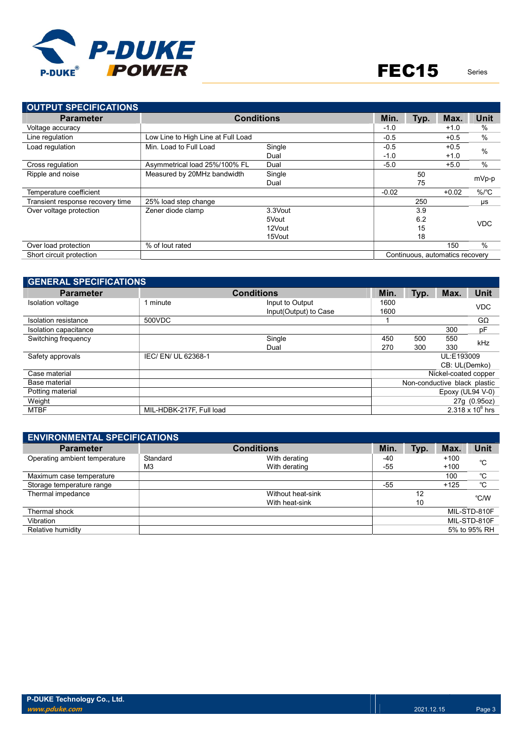

| <b>OUTPUT SPECIFICATIONS</b>                                |                                    |         |         |      |         |                      |  |
|-------------------------------------------------------------|------------------------------------|---------|---------|------|---------|----------------------|--|
| <b>Parameter</b>                                            | <b>Conditions</b>                  |         | Min.    | Typ. | Max.    | <b>Unit</b>          |  |
| Voltage accuracy                                            |                                    |         | $-1.0$  |      | $+1.0$  | $\%$                 |  |
| Line regulation                                             | Low Line to High Line at Full Load |         | $-0.5$  |      | $+0.5$  | $\%$                 |  |
| Load regulation                                             | Min. Load to Full Load             | Single  | $-0.5$  |      | $+0.5$  | $\frac{0}{0}$        |  |
|                                                             |                                    | Dual    | $-1.0$  |      | $+1.0$  |                      |  |
| Cross regulation                                            | Asymmetrical load 25%/100% FL      | Dual    | $-5.0$  |      | $+5.0$  | $\%$                 |  |
| Ripple and noise                                            | Measured by 20MHz bandwidth        | Single  |         | 50   |         | mVp-p                |  |
|                                                             |                                    | Dual    |         | 75   |         |                      |  |
| Temperature coefficient                                     |                                    |         | $-0.02$ |      | $+0.02$ | $%$ / ${}^{\circ}$ C |  |
| Transient response recovery time                            | 25% load step change               |         |         | 250  |         | μs                   |  |
| Over voltage protection                                     | Zener diode clamp                  | 3.3Vout |         | 3.9  |         |                      |  |
|                                                             |                                    | 5Vout   |         | 6.2  |         | <b>VDC</b>           |  |
|                                                             |                                    | 12Vout  |         | 15   |         |                      |  |
|                                                             |                                    | 15Vout  |         | 18   |         |                      |  |
| Over load protection                                        | % of lout rated                    |         |         |      | 150     | $\%$                 |  |
| Short circuit protection<br>Continuous, automatics recovery |                                    |         |         |      |         |                      |  |

| <b>GENERAL SPECIFICATIONS</b> |                          |                       |      |      |                              |                    |
|-------------------------------|--------------------------|-----------------------|------|------|------------------------------|--------------------|
| <b>Parameter</b>              |                          | <b>Conditions</b>     | Min. | Typ. | Max.                         | <b>Unit</b>        |
| <b>Isolation voltage</b>      | I minute                 | Input to Output       | 1600 |      |                              | <b>VDC</b>         |
|                               |                          | Input(Output) to Case | 1600 |      |                              |                    |
| Isolation resistance          | 500VDC                   |                       |      |      |                              | $G\Omega$          |
| Isolation capacitance         |                          |                       |      |      | 300                          | pF                 |
| Switching frequency           |                          | Single                | 450  | 500  | 550                          | kHz                |
|                               |                          | Dual                  | 270  | 300  | 330                          |                    |
| Safety approvals              | IEC/EN/UL 62368-1        |                       |      |      | UL:E193009                   |                    |
|                               |                          |                       |      |      | CB: UL(Demko)                |                    |
| Case material                 |                          |                       |      |      | Nickel-coated copper         |                    |
| Base material                 |                          |                       |      |      | Non-conductive black plastic |                    |
| Potting material              |                          |                       |      |      | Epoxy (UL94 V-0)             |                    |
| Weight                        |                          |                       |      |      |                              | 27g (0.95oz)       |
| <b>MTBF</b>                   | MIL-HDBK-217F, Full load |                       |      |      |                              | 2.318 x $10^6$ hrs |

| <b>ENVIRONMENTAL SPECIFICATIONS</b> |                |                   |       |      |        |              |  |
|-------------------------------------|----------------|-------------------|-------|------|--------|--------------|--|
| <b>Parameter</b>                    |                | <b>Conditions</b> | Min.  | Typ. | Max.   | <b>Unit</b>  |  |
| Operating ambient temperature       | Standard       | With derating     | -40   |      | $+100$ | °C           |  |
|                                     | M <sub>3</sub> | With derating     | -55   |      | $+100$ |              |  |
| Maximum case temperature            |                |                   |       |      | 100    | °C           |  |
| Storage temperature range           |                |                   | $-55$ |      | $+125$ | °C           |  |
| Thermal impedance                   |                | Without heat-sink |       | 12   |        | °C/W         |  |
|                                     |                | With heat-sink    |       | 10   |        |              |  |
| Thermal shock                       |                |                   |       |      |        | MIL-STD-810F |  |
| Vibration                           |                |                   |       |      |        | MIL-STD-810F |  |
| Relative humidity                   |                |                   |       |      |        | 5% to 95% RH |  |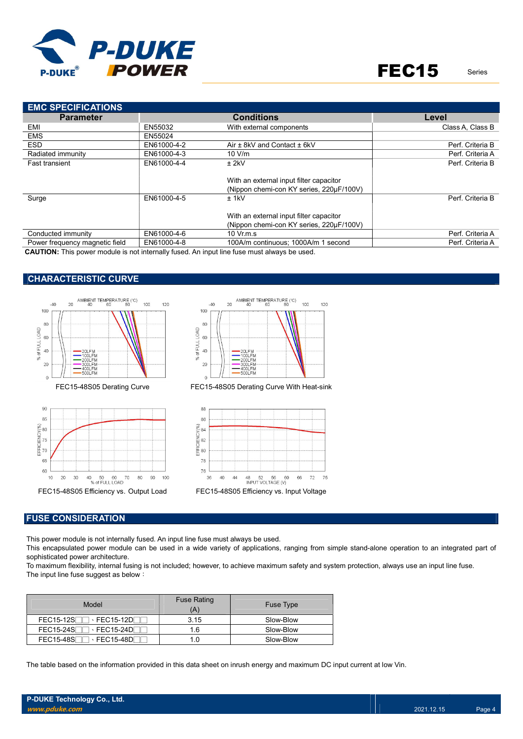

| <b>EMC SPECIFICATIONS</b>      |             |                                                                                     |                  |  |  |
|--------------------------------|-------------|-------------------------------------------------------------------------------------|------------------|--|--|
| <b>Parameter</b>               |             | <b>Conditions</b>                                                                   | Level            |  |  |
| EMI                            | EN55032     | With external components                                                            | Class A. Class B |  |  |
| <b>EMS</b>                     | EN55024     |                                                                                     |                  |  |  |
| <b>ESD</b>                     | EN61000-4-2 | Air ± 8kV and Contact ± 6kV                                                         | Perf. Criteria B |  |  |
| Radiated immunity              | EN61000-4-3 | 10 V/m                                                                              | Perf. Criteria A |  |  |
| <b>Fast transient</b>          | EN61000-4-4 | $±$ 2kV                                                                             | Perf. Criteria B |  |  |
|                                |             | With an external input filter capacitor<br>(Nippon chemi-con KY series, 220µF/100V) |                  |  |  |
| Surge                          | EN61000-4-5 | $±$ 1kV                                                                             | Perf. Criteria B |  |  |
|                                |             | With an external input filter capacitor<br>(Nippon chemi-con KY series, 220µF/100V) |                  |  |  |
| Conducted immunity             | EN61000-4-6 | $10 \text{ Vr}$ m.s.                                                                | Perf. Criteria A |  |  |
| Power frequency magnetic field | EN61000-4-8 | 100A/m continuous; 1000A/m 1 second                                                 | Perf. Criteria A |  |  |

CAUTION: This power module is not internally fused. An input line fuse must always be used.

## CHARACTERISTIC CURVE







FEC15-48S05 Derating Curve FEC15-48S05 Derating Curve With Heat-sink



#### FUSE CONSIDERATION

This power module is not internally fused. An input line fuse must always be used.

This encapsulated power module can be used in a wide variety of applications, ranging from simple stand-alone operation to an integrated part of sophisticated power architecture.

To maximum flexibility, internal fusing is not included; however, to achieve maximum safety and system protection, always use an input line fuse. The input line fuse suggest as below:

| Model                                                           | <b>Fuse Rating</b><br>Ά | <b>Fuse Type</b> |
|-----------------------------------------------------------------|-------------------------|------------------|
| $FEC15-12S$<br>$\lceil \cdot \textsf{FEC15-12D} \rceil$         | 3.15                    | Slow-Blow        |
| FEC15-24S<br>$\cdot$ FEC15-24D $\overline{\phantom{a}}$         | 1.6                     | Slow-Blow        |
| FEC15-48SF<br>$\lceil \cdot \textsf{FEC15{\text -}48DF} \rceil$ | I.O                     | Slow-Blow        |

The table based on the information provided in this data sheet on inrush energy and maximum DC input current at low Vin.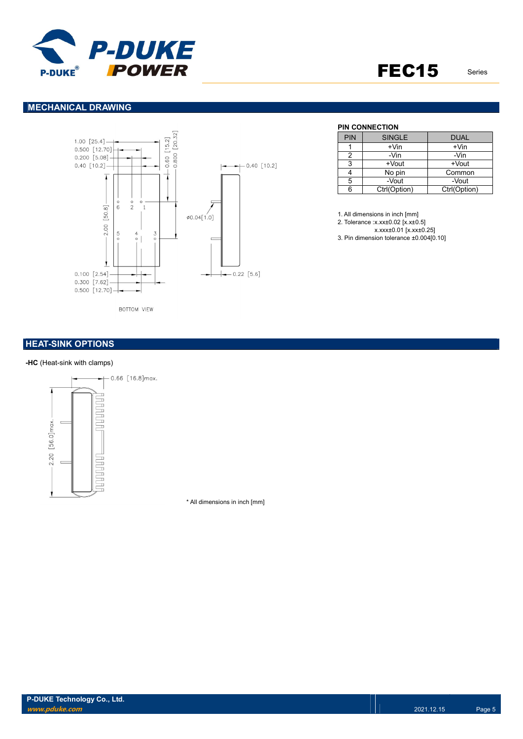

# FEC15 Series

## MECHANICAL DRAWING



PIN CONNECTION

| <b>PIN</b> | <b>SINGLE</b> | <b>DUAL</b>  |
|------------|---------------|--------------|
|            | $+V$ in       | $+V$ in      |
|            | -Vin          | -Vin         |
| ঽ          | +Vout         | +Vout        |
|            | No pin        | Common       |
| 5          | -Vout         | -Vout        |
| հ          | Ctrl(Option)  | Ctrl(Option) |

1. All dimensions in inch [mm]

2. Tolerance :x.xx±0.02 [x.x±0.5]

x.xxx±0.01 [x.xx±0.25]

3. Pin dimension tolerance ±0.004[0.10]

## **HEAT-SINK OPTIONS**

#### -HC (Heat-sink with clamps)



\* All dimensions in inch [mm]